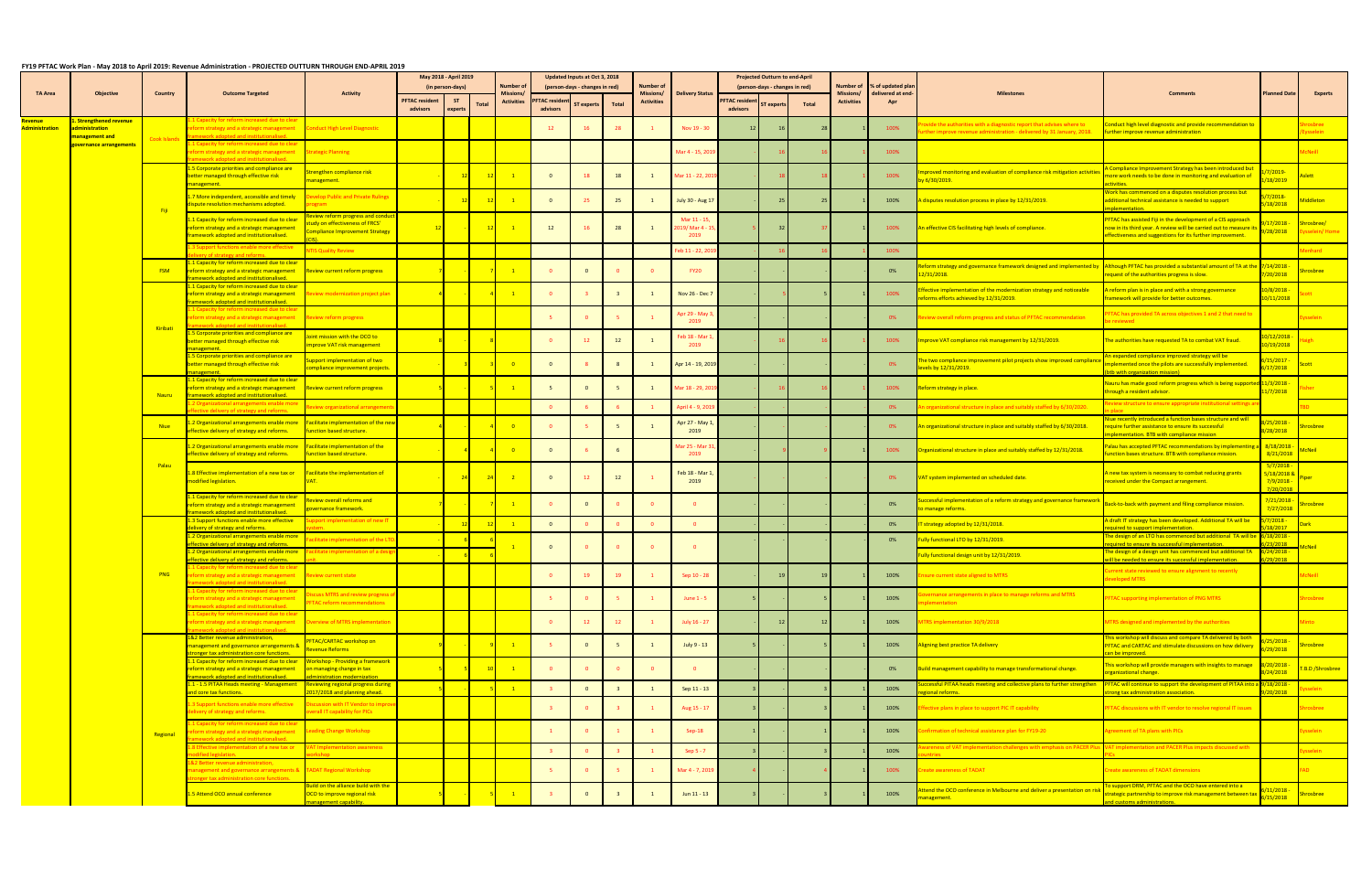## **FY19 PFTAC Work Plan ‐ May 2018 to April 2019: Revenue Administration ‐ PROJECTED OUTTURN THROUGH END‐APRIL 2019**

|                                  |                                              |              |                                                                                                                                                 |                                                                                                        |                                   | May 2018 - April 2019 |       |                            |                                 | Updated Inputs at Oct 3, 2018  |       |                               |                                       |                                  | <b>Projected Outturn to end-April</b> |       |                   |                                                 |                                                                                                                                                                                           |                                                                                                                                                                                                      |                                                              |                           |
|----------------------------------|----------------------------------------------|--------------|-------------------------------------------------------------------------------------------------------------------------------------------------|--------------------------------------------------------------------------------------------------------|-----------------------------------|-----------------------|-------|----------------------------|---------------------------------|--------------------------------|-------|-------------------------------|---------------------------------------|----------------------------------|---------------------------------------|-------|-------------------|-------------------------------------------------|-------------------------------------------------------------------------------------------------------------------------------------------------------------------------------------------|------------------------------------------------------------------------------------------------------------------------------------------------------------------------------------------------------|--------------------------------------------------------------|---------------------------|
| TA Area                          | Objective                                    | Country      | <b>Outcome Targeted</b>                                                                                                                         | <b>Activity</b>                                                                                        |                                   | (in person-days)      |       | Number of<br>Missions/     |                                 | (person-days - changes in red) |       | <b>Number of</b><br>Missions/ | <b>Delivery Status</b>                |                                  | (person-days - changes in red)        |       | <b>Missions/</b>  | Number of % of updated pla<br>delivered at end- | <b>Milestones</b>                                                                                                                                                                         | <b>Comments</b>                                                                                                                                                                                      | <b>Planned Date</b>                                          | <b>Experts</b>            |
|                                  |                                              |              |                                                                                                                                                 |                                                                                                        | <b>PFTAC resident</b><br>advisors | <b>ST</b><br>experts  | Total | <b>Activities</b>          | <b>FTAC resider</b><br>advisors | $\mathsf{s}\mathsf{T}$ experts | Total | <b>Activities</b>             |                                       | <b>PFTAC residen</b><br>advisors | expe                                  | Total | <b>Activities</b> | Apr                                             |                                                                                                                                                                                           |                                                                                                                                                                                                      |                                                              |                           |
| Revenue<br><b>Administration</b> | <b>Strengthened revenue</b><br>dministration |              | Capacity for reform increased due to clear<br>form strategy and a strategic management<br><b>Nework adopted and institutionalised</b>           | <b>Conduct High Level Diagnostic</b>                                                                   |                                   |                       |       |                            | 12                              |                                |       |                               | Nov 19 - 30                           |                                  |                                       |       |                   | 100%                                            | vide the authorities with a diagnostic report that advises where to<br>ther improve revenue administration - delivered by 31 January, 2018. <b>Further improve revenue administration</b> | induct high level diagnostic and provide recommendation to                                                                                                                                           |                                                              | rosbree<br>sselein        |
|                                  | nanagement and<br>zovernance arrangements    | Cook Islands | L Capacity for reform increased due to clear<br>eform strategy and a strategic management<br>howark adoptod and institutionalised               | <b>Strategic Planning</b>                                                                              |                                   |                       |       |                            |                                 |                                |       |                               | Mar 4 - 15, 2019                      |                                  |                                       |       |                   | 100%                                            |                                                                                                                                                                                           |                                                                                                                                                                                                      |                                                              | <b>McNeill</b>            |
|                                  |                                              |              | .5 Corporate priorities and compliance are<br>etter managed through effective risk<br>anagement.                                                | engthen compliance risk<br>anagement.                                                                  |                                   | 12                    | 12    | $\blacksquare$ 1           | $\overline{0}$                  | 18                             | 18    |                               | Mar 11 - 22, 2019                     |                                  |                                       |       |                   | 100%                                            | <u>roved monitoring and evaluation of compliance risk mitigation activities</u><br><mark>y 6/30/2019.</mark>                                                                              | <u>Compliance Improvement Strategy has been introduced but</u><br>ore work needs to be done in monitoring and evaluation of<br><b>Tivities</b>                                                       | <mark>7/2019-</mark><br>18/2019                              |                           |
|                                  |                                              |              | .7 More independent, accessible and timely<br>ispute resolution mechanisms adopted.                                                             | velop Public and Private Rulings                                                                       |                                   |                       |       | $\blacksquare$             | $\overline{0}$                  | 25                             | 25    |                               | July 30 - Aug 17                      |                                  |                                       |       |                   | 100%                                            | disputes resolution process in place by 12/31/2019.                                                                                                                                       | Vork has commenced on a disputes resolution process but<br>additional technical assistance is needed to support<br>lementation.                                                                      | 7/2018-<br>18/2018                                           | ddleton                   |
|                                  |                                              | - Fiji       | .1 Capacity for reform increased due to clear<br>eform strategy and a strategic management<br>amework adopted and institutionalised.            | view reform progress and cond<br>udy on effectiveness of FRCS'<br><b>mpliance Improvement Strategy</b> |                                   |                       |       | $\sim$ 1                   | 12                              | 16                             | 28    |                               | Mar 11 - 15,<br>019/Mar 4 - 1<br>2019 |                                  |                                       |       |                   | 100%                                            | An effective CIS facilitating high levels of compliance.                                                                                                                                  | <b>PFTAC has assisted Fiji in the development of a CIS approach</b><br>now in its third year. A review will be carried out to measure i<br>ffectiveness and suggestions for its further improvement. | 17/2018<br>28/2018                                           | irosbree.<br>sselein/Home |
|                                  |                                              |              | Support functions enable more effective                                                                                                         | <b>IS Quality Review</b>                                                                               |                                   |                       |       |                            |                                 |                                |       |                               | eb 11 - 22, 20                        |                                  |                                       |       |                   | 100%                                            |                                                                                                                                                                                           |                                                                                                                                                                                                      |                                                              |                           |
|                                  |                                              | <b>FSM</b>   | <u>1 Capacity for reform increased due to clear</u><br>reform strategy and a strategic management<br>mework adopted and institutionalised.      | Review current reform progress                                                                         |                                   |                       |       | $-1$                       |                                 |                                |       |                               | <b>FY20</b>                           |                                  |                                       |       |                   | 0%                                              | orm strategy and governance framework designed and implemented by <b>Although PFTAC has provided a substantial amount of TA at the</b> 7/14/2018<br>2/31/2018.                            | equest of the authorities progress is slow.                                                                                                                                                          | /20/2018                                                     | osbree                    |
|                                  |                                              |              | 1 Capacity for reform increased due to clear<br>eform strategy and a strategic management<br>mework adopted and institutionalised.              | view modernization project plar                                                                        |                                   |                       |       | $\blacksquare$ 1           |                                 |                                |       |                               | Nov 26 - Dec 7                        |                                  |                                       |       |                   | 100%                                            | ective implementation of the modernization strategy and noticeable<br>eforms efforts achieved by 12/31/2019.                                                                              | reform plan is in place and with a strong governance<br>amework will provide for better outcomes.                                                                                                    | 0/8/2018<br>0/11/2018                                        |                           |
|                                  |                                              |              | l Capacity for reform increased due to clear<br>eform strategy and a strategic management                                                       | <b>Review reform progress</b>                                                                          |                                   |                       |       |                            |                                 |                                |       |                               | <b>Apr 29 - May</b> 3<br>2019         |                                  |                                       |       |                   | 0%                                              | view overall reform progress and status of PFTAC recommendation                                                                                                                           | TAC has provided TA across objectives 1 and 2 that need to<br>reviewed i                                                                                                                             |                                                              |                           |
|                                  |                                              | Kiribati     | 5 Corporate priorities and compliance are<br>etter managed through effective risk                                                               | int mission with the OCO to<br><b>prove VAT risk management</b>                                        |                                   |                       |       |                            |                                 | 12                             | 12    |                               | eb 18 - Mar 1<br>2019                 |                                  |                                       |       |                   | 100%                                            | nprove VAT compliance risk management by 12/31/2019.                                                                                                                                      | The authorities have requested TA to combat VAT fraud.                                                                                                                                               | 0/12/2018<br>0/19/2018                                       |                           |
|                                  |                                              |              | 5 Corporate priorities and compliance are<br>etter managed through effective risk                                                               | ipport implementation of two<br><b>Impliance improvement projects</b>                                  |                                   |                       |       | $\overline{\phantom{0}}$ 0 | $\mathbf{0}$                    |                                |       |                               | Apr 14 - 19, 2019                     |                                  |                                       |       |                   | 0%                                              | <u>ie two compliance improvement pilot projects show improved compliand</u><br>vels by 12/31/2019.                                                                                        | <u>i expanded compliance improved strategy will be </u><br>nplemented once the pilots are successfully implemented.<br>btb with organization mission)                                                | 15/2017<br>17/2018                                           |                           |
|                                  |                                              | <b>Nauru</b> | .1 Capacity for reform increased due to clear<br>eform strategy and a strategic management<br>ramework adopted and institutionalised            | <b>Review current reform progress</b>                                                                  |                                   |                       |       |                            |                                 |                                |       |                               | Mar 18 - 29, 20:                      |                                  |                                       |       |                   | 100%                                            | form strategy in place.                                                                                                                                                                   | lauru has made good reform progress which is being supported <mark>11/3/2018</mark><br>hrough a resident advisor.                                                                                    | 1/7/2018                                                     |                           |
|                                  |                                              |              | zational arrangements ei<br>ctive delivery of strategy and reforms.                                                                             | view organizational arrangemei                                                                         |                                   |                       |       |                            |                                 |                                |       |                               | April 4 - 9, 20                       |                                  |                                       |       |                   | 0%                                              | ganizational structure in place and suitably staffed by 6/30/2020.                                                                                                                        | l <mark>ew structure to ensure appropriate institutional se</mark>                                                                                                                                   |                                                              |                           |
|                                  |                                              | <b>Niue</b>  | 2 Organizational arrangements enable more<br>ffective delivery of strategy and reforms.                                                         | Facilitate implementation of the nev<br>unction based structure.                                       |                                   |                       |       |                            |                                 |                                |       |                               | Apr 27 - May :<br>2019                |                                  |                                       |       |                   | 0%                                              | n organizational structure in place and suitably staffed by 6/30/2018.                                                                                                                    | <u>liue recently introduced a function bases structure and will</u><br>equire further assistance to ensure its successful<br>ementation. BTB with compliance mission                                 | 25/2018<br>28/2018                                           |                           |
|                                  |                                              |              | 2 Organizational arrangements enable more<br>ffective delivery of strategy and reforms.                                                         | Facilitate implementation of the<br>nction based structure.                                            |                                   |                       |       | $\overline{\phantom{0}}$ 0 | $\mathbf{0}$                    |                                |       |                               | Mar 25 - Mar 3<br>2019                |                                  |                                       |       |                   | 100%                                            | irganizational structure in place and suitably staffed by 12/31/2018.                                                                                                                     | alau has accepted PFTAC recommendations by implemen<br>nction bases structure. BTB with compliance mission.                                                                                          | 8/18/2018<br>8/21/2018                                       | <b>1cNeil</b>             |
|                                  |                                              | Palau        | .8 Effective implementation of a new tax or<br>nodified legislation.                                                                            | <b>Facilitate the implementation of</b>                                                                |                                   | 24                    | 24    | $\sim$ 2                   | $\overline{0}$                  | $12^{\circ}$                   | 12    |                               | Feb 18 - Mar 1<br>2019                |                                  |                                       |       |                   | 0%                                              | VAT system implemented on scheduled date.                                                                                                                                                 | A new tax system is necessary to combat reducing grants<br>eceived under the Compact arrangement.                                                                                                    | 5/7/2018<br><mark>5/18/2018 8</mark><br>7/9/2018<br>7/20/201 |                           |
|                                  |                                              |              | 1 Capacity for reform increased due to clear<br>eform strategy and a strategic management<br><b>Rework adopted and institutionalise</b>         | <b>Eview overall reforms and</b><br>vernance framework.                                                |                                   |                       |       | $\overline{\phantom{0}}$ 1 |                                 |                                |       |                               | $\overline{\mathbf{0}}$               |                                  |                                       |       |                   | 0%                                              | cessful implementation of a reform strategy and governance framework:<br>manage reforms.                                                                                                  | Back-to-back with payment and filing compliance mission.                                                                                                                                             | 7/21/2018 ·<br>7/27/2018                                     |                           |
|                                  |                                              |              | .3 Support functions enable more effective<br>very of strategy and reforms                                                                      | port implementation of new IT                                                                          |                                   |                       |       | $\overline{1}$             | $\overline{0}$                  |                                |       |                               | $\Omega$                              |                                  |                                       |       |                   | 0%                                              | strategy adopted by 12/31/2018.                                                                                                                                                           | A draft IT strategy has been developed. Additional TA will be<br>uired to support implementation                                                                                                     | <mark>7/2018 -</mark><br>8/2017                              |                           |
|                                  |                                              |              | 2 Organizational arrangements enable more<br>fective delivery of strategy and reforms                                                           | litate implementation of the LT                                                                        |                                   |                       |       |                            | $\mathbf{0}$                    |                                |       |                               | $\overline{\mathbf{0}}$               |                                  |                                       |       |                   | 0%                                              | Ily functional LTO by 12/31/2019.                                                                                                                                                         | he design of an LTO has commenced but additional TA will be<br>quired to ensure its successful implementation.                                                                                       | ./ <mark>18/2018/</mark><br>22/2015                          |                           |
|                                  |                                              |              | 2 Organizational arrangements enable more<br>ffective delivery of strategy and reforms.                                                         | ilitate implementation of a desi                                                                       |                                   |                       |       |                            |                                 |                                |       |                               |                                       |                                  |                                       |       |                   |                                                 | <u>Ily functional design unit by 12/31/2019</u>                                                                                                                                           | The design of a design unit has commenced but additional TA<br>will be needed to ensure its successful implementation.                                                                               | <mark>/24/2018 -</mark><br>29/2018                           |                           |
|                                  |                                              |              | L Capacity for reform increased due to clear<br>egy and a strategic ma<br>heailenoitutitani has hetanohs dao                                    |                                                                                                        |                                   |                       |       |                            |                                 |                                |       |                               | <b>Sep 10 - 28</b>                    |                                  |                                       |       |                   | 100%                                            |                                                                                                                                                                                           | urrent state reviewed to ensure alignment to recently<br>eloped MTRS                                                                                                                                 |                                                              |                           |
|                                  |                                              |              | Capacity for reform increased due to clear<br>form strategy and a strategic management<br>nework adopted and institutionalised.                 | cuss MTRS and review progress<br>TAC reform recommendations                                            |                                   |                       |       |                            |                                 |                                |       |                               | June $1 - 5$                          |                                  |                                       |       |                   | 100%                                            | rnance arrangements in place to manage reforms and MTRS<br>ementation                                                                                                                     | <b>FTAC supporting implementation of PNG MTRS</b>                                                                                                                                                    |                                                              | <b>prosbree</b>           |
|                                  |                                              |              | Capacity for reform increased due to clear<br>form strategy and a strategic management<br>hasilenoitutitzai har hatanohe showan                 | verview of MTRS implementation                                                                         |                                   |                       |       |                            | $\overline{0}$                  | 12                             | 12    |                               | July 16 - 27                          |                                  | 12                                    |       |                   | 100%                                            | <b>TRS implementation 30/9/2018</b>                                                                                                                                                       | MTRS designed and implemented by the authorities                                                                                                                                                     |                                                              | Minto                     |
|                                  |                                              |              | .&2 Better revenue administration,<br>nanagement and governance arrangements &<br>ronger tax administration core functions                      | <b>FTAC/CARTAC workshop on</b><br>evenue Reforms                                                       |                                   |                       |       | $\sim$ 1                   |                                 | $\mathbf{0}$                   |       |                               | July 9 - 13                           |                                  |                                       |       |                   | 100%                                            | igning best practice TA delivery                                                                                                                                                          | This workshop will discuss and compare TA delivered by both<br>PFTAC and CARTAC and stimulate discussions on how delivery<br>an be improved.                                                         | 25/2018<br>29/2018                                           | rosbree                   |
|                                  |                                              |              | 1 Capacity for reform increased due to clear<br>eform strategy and a strategic management<br>amework adopted and institutionalised.             | <b>Workshop - Providing a framework</b><br>n managing change in tax<br>inistration modernization       |                                   |                       |       | $\frac{1}{2}$              |                                 |                                |       |                               | $\overline{\mathbf{0}}$               |                                  |                                       |       |                   | 0%                                              | ild management capability to manage transformational change.                                                                                                                              | his workshop will provide managers with insights to manage<br>rganizational change.                                                                                                                  | 3/20/2018<br>24/2018                                         | <b>B.D/Shrosbree</b>      |
|                                  |                                              |              | .1 - 1.5 PITAA Heads meeting - Management<br>nd core tax functions.                                                                             | Reviewing regional progress during<br>17/2018 and planning ahead.                                      |                                   |                       |       | $\frac{1}{2}$              |                                 | $\overline{0}$                 |       |                               | Sep 11 - 13                           |                                  |                                       |       |                   | 100%                                            | cessful PITAA heads meeting and collective plans to further strengthen<br>nal reforms                                                                                                     | PFTAC will continue to support the development of PITAA into a 9/18/2018<br>ong tax administration association.                                                                                      | 20/2018                                                      |                           |
|                                  |                                              |              | .3 Support functions enable more effective<br>elivery of strategy and reforms.                                                                  | scussion with IT Vendor to impr<br>verall IT capability for PICs                                       |                                   |                       |       |                            |                                 |                                |       |                               | Aug 15 - 17                           |                                  |                                       |       |                   | 100%                                            | ective plans in place to support PIC IT capability                                                                                                                                        | PFTAC discussions with IT vendor to resolve regional IT issues                                                                                                                                       |                                                              | hrosbree                  |
|                                  |                                              | Regional     | l Capacity for reform increased due to clear<br>eform strategy and a strategic management<br>hesilengitutitsai hae hetaghe drowe                | <b>Leading Change Workshop</b>                                                                         |                                   |                       |       |                            |                                 |                                |       |                               | Sep-18                                |                                  |                                       |       |                   | 100%                                            | rmation of technical assistance plan for FY19-20                                                                                                                                          | greement of TA plans with PICs                                                                                                                                                                       |                                                              | ysselein                  |
|                                  |                                              |              | Effective implementation of a new tax or<br>dified legislation.                                                                                 | T Implementation awareness<br>r                                                                        |                                   |                       |       |                            |                                 |                                |       |                               | Sep 5 - 7                             |                                  |                                       |       |                   | 100%                                            | eness of VAT implementation challenges with emphasis on PACER Pli                                                                                                                         | implementation and PACER Plus impacts discussed with                                                                                                                                                 |                                                              | selein                    |
|                                  |                                              |              | 2 Better revenue administration,<br>anagement and governance arrangements & TADAT Regional Workshop<br>onger tax administration core functions. |                                                                                                        |                                   |                       |       |                            |                                 |                                |       |                               | Mar 4 - 7, 2019                       |                                  |                                       |       |                   | 100%                                            | eate awareness of TADAT                                                                                                                                                                   | <b>Create awareness of TADAT dimensions</b>                                                                                                                                                          |                                                              | AD.                       |
|                                  |                                              |              | .5 Attend OCO annual conference                                                                                                                 | uild on the alliance build with the<br><b>CO</b> to improve regional risk<br>anagement capability.     |                                   |                       |       | $\sim$ 1                   |                                 |                                |       |                               | $Jun 11 - 13$                         |                                  |                                       |       |                   | 100%                                            | tend the OCO conference in Melbourne and deliver a presentation on risk<br>anagement.                                                                                                     | o support DRM, PFTAC and the OCO have entered into a<br>rategic partnership to improve risk management between tax<br>nd customs administrations.                                                    | 11/2018<br>15/2018                                           | hrosbree l                |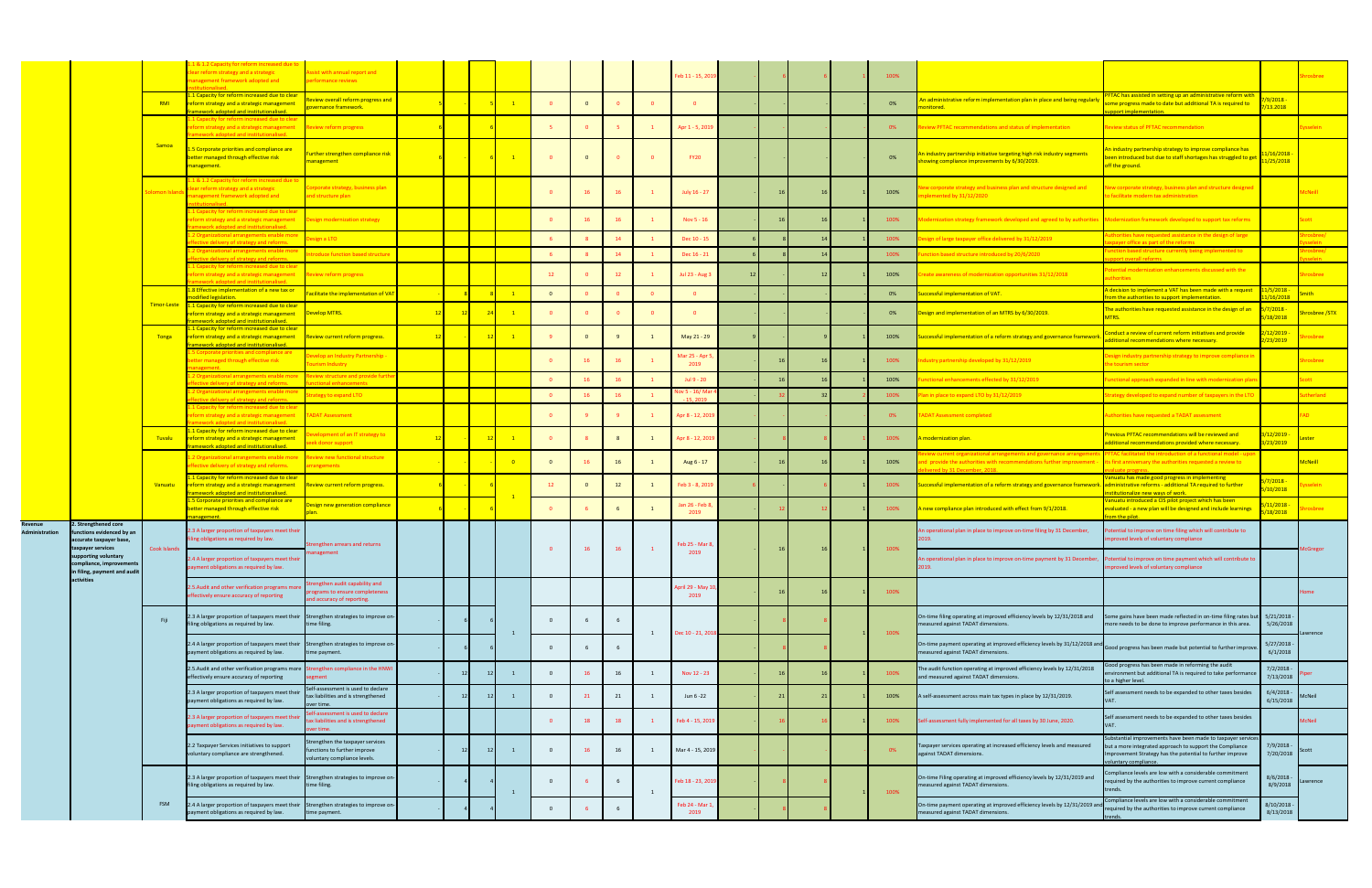|                           |                                                                        |               | 8. 1.2 Capacity for reform increased due to<br>ear reform strategy and a strategic<br>anagement framework adopted and                   | ssist with annual report and<br>rformance reviews                                           |         |    |                            |                |                |    |   | eb 11 - 15, 20:              |  |  | 100% |                                                                                                                                                                                                   |                                                                                                                                                                                                         |                                    | rosbree        |
|---------------------------|------------------------------------------------------------------------|---------------|-----------------------------------------------------------------------------------------------------------------------------------------|---------------------------------------------------------------------------------------------|---------|----|----------------------------|----------------|----------------|----|---|------------------------------|--|--|------|---------------------------------------------------------------------------------------------------------------------------------------------------------------------------------------------------|---------------------------------------------------------------------------------------------------------------------------------------------------------------------------------------------------------|------------------------------------|----------------|
|                           |                                                                        | <b>RMI</b>    | L Capacity for reform increased due to clear<br>eform strategy and a strategic management<br>mework adopted and institutionalised.      | view overall reform progress and<br><u>overnance framework.</u>                             |         |    | $\blacksquare$ 1           |                | $\overline{0}$ |    |   |                              |  |  | 0%   | <u>n administrative reform implementation plan in place and being regularly</u><br>onitored                                                                                                       | TAC has assisted in setting up an administrative reform witl<br>me progress made to date but additional TA is required to<br>oport implementation.                                                      | 9/2018 -<br>13.2018                |                |
|                           |                                                                        |               | lapacity for reform increased due to clear<br>orm strategy and a strategic management<br>work adopted and institutionalised             | eview reform progress                                                                       |         |    |                            |                |                |    |   | Apr 1 - 5, 2019              |  |  | 0%   | view PFTAC recommendations and status of implementation                                                                                                                                           | eview status of PFTAC recommendation                                                                                                                                                                    |                                    | sselein        |
|                           |                                                                        | Samoa         | 5 Corporate priorities and compliance are<br>etter managed through effective risk<br>nanagement.                                        | <u>urther strengthen compliance risk</u><br>anagement                                       |         |    | $\blacksquare$             |                |                |    |   | <b>FY20</b>                  |  |  | 0%   | i industry partnership initiative targeting high risk industry segments<br>owing compliance improvements by 6/30/2019.                                                                            | i industry partnership strategy to improve compliance has<br>een introduced but due to staff shortages has struggled to get<br>off the ground.                                                          | /16/2018<br><mark>l/25/2018</mark> |                |
|                           |                                                                        | lomon Island  | l & 1.2 Capacity for reform increased due to<br>ear reform strategy and a strategic<br>anagement framework adopted and                  | prporate strategy, business plan<br>nd structure plan                                       |         |    |                            |                |                |    |   | July 16 - 27                 |  |  | 100% | w corporate strategy and business plan and structure designed and<br>emented by 31/12/2020                                                                                                        | ew corporate strategy, business plan and structure designed<br>o facilitate modern tax administration                                                                                                   |                                    | <b>AcNeill</b> |
|                           |                                                                        |               | Capacity for reform increased due to clea<br>form strategy and a strategic management<br>healenoitutitari hre hetanohe Jaou             | esign modernization strategy                                                                |         |    |                            | $\mathbf{0}$   |                |    |   | Nov 5 - 16                   |  |  | 100% | zation strategy framework developed and agreed to by authorities Modernization framework developed to support tax reforms                                                                         |                                                                                                                                                                                                         |                                    | cott           |
|                           |                                                                        |               | Organizational arrangements enable more<br>tive delivery of strategy and reforms                                                        | sign a LTO                                                                                  |         |    |                            |                |                | 14 |   | Dec 10 - 15                  |  |  | 100% | gn of large taxpayer office delivered by 31/12/2019                                                                                                                                               | orities have requested assistance in the design of large<br>ver office as part of the reform                                                                                                            |                                    |                |
|                           |                                                                        |               | rganizational arrangements enable more                                                                                                  | roduce function based structure                                                             |         |    |                            |                |                | 14 |   | Dec 16 - 21                  |  |  | 100% | tion based structure introduced by 20/6/2020                                                                                                                                                      | ction based structure currently being implemented to                                                                                                                                                    |                                    |                |
|                           |                                                                        |               | tive delivery of strategy and reforms<br>Capacity for reform increased due to clear<br>form strategy and a strategic management         | eview reform progress                                                                       |         |    |                            | 12             |                |    |   | Jul 23 - Aug 3               |  |  | 100% | ate awareness of modernization opportunities 31/12/2018                                                                                                                                           | port overall reforms<br>tential modernization enhancements discussed with the<br>thorities                                                                                                              |                                    | osbree         |
|                           |                                                                        |               | .8 Effective implementation of a new tax or                                                                                             |                                                                                             |         |    |                            |                |                |    |   |                              |  |  |      |                                                                                                                                                                                                   | I decision to implement a VAT has been made with a request                                                                                                                                              | /5/2018 ·                          |                |
|                           |                                                                        |               | odified legislation.                                                                                                                    | acilitate the implementation of VA                                                          |         |    | $\overline{1}$             | $\overline{0}$ |                |    |   |                              |  |  | 0%   | ccessful implementation of VAT.                                                                                                                                                                   | om the authorities to support implementation.                                                                                                                                                           | /16/2018                           |                |
|                           |                                                                        | Timor-Leste   | 1.1 Capacity for reform increased due to clear<br>eform strategy and a strategic management<br>mework adopted and institutionalised.    | Develop MTRS.                                                                               | $_{12}$ |    | $\blacksquare$ 1           | $\mathbf{0}$   |                |    |   | - 0                          |  |  | 0%   | sign and implementation of an MTRS by 6/30/2019.                                                                                                                                                  | he authorities have requested assistance in the design of an                                                                                                                                            | $\frac{7}{2018}$<br>/18/2018       | rosbree /STX   |
|                           |                                                                        | <b>Tonga</b>  | 1 Capacity for reform increased due to clear<br>eform strategy and a strategic management<br>amework adopted and institutionalised.     | Review current reform progress.                                                             | $_{12}$ |    | $\overline{\phantom{0}}$ 1 |                |                |    |   | May 21 - 29                  |  |  | 100% | ccessful implementation of a reform strategy and governance framework                                                                                                                             | nduct a review of current reform initiatives and provide<br>dditional recommendations where necessary.                                                                                                  | 12/2019 <mark>·</mark><br>23/2019  | osbree         |
|                           |                                                                        |               | Corporate priorities and compliance are<br>etter managed through effective risk                                                         | velop an Industry Partnership -<br>urism Industry                                           |         |    |                            |                | 16             |    |   | Mar 25 - Apr<br>2019         |  |  | 100% | lustry partnership developed by 31/12/2019                                                                                                                                                        | esign industry partnership strategy to improve compliance i<br>e tourism sector                                                                                                                         |                                    | osbree         |
|                           |                                                                        |               | Organizational arrangements enable more<br>tive delivery of strategy and reforms.                                                       | eview structure and provide fu<br>ional enhancement                                         |         |    |                            |                |                | 16 |   | Jul 9 - 20                   |  |  | 100% | tional enhancements effected by 31/12/2019                                                                                                                                                        | nctional approach expanded in line with modernization pla                                                                                                                                               |                                    |                |
|                           |                                                                        |               | Organizational arrangements enable more                                                                                                 | ategy to expand LTO                                                                         |         |    |                            | $\mathbf{0}$   | 16             | 16 |   | vv 5 - 16/ Ma                |  |  | 100% | n in place to expand LTO by 31/12/2019                                                                                                                                                            | ategy developed to expand number of taxpayers in the LTO                                                                                                                                                |                                    | herland        |
|                           |                                                                        |               | tive delivery of strategy and reforms<br>Capacity for reform increased due to clear<br>form strategy and a strategic management         | <b>TADAT Assessment</b>                                                                     |         |    |                            |                |                |    |   | 15, 2010<br>Apr 8 - 12, 201! |  |  | 0%   | DAT Assessment completed                                                                                                                                                                          | uthorities have requested a TADAT assessment                                                                                                                                                            |                                    |                |
|                           |                                                                        | <b>Tuvalu</b> | <u>1 Capacity for reform increased due to clear</u><br>reform strategy and a strategic management                                       | lopment of an IT strategy to<br>ek donor support                                            |         |    | $\blacksquare$             |                |                |    |   | Apr 8 - 12, 201              |  |  | 100% | modernization plan.                                                                                                                                                                               | evious PFTAC recommendations will be reviewed and<br>dditional recommendations provided where necessary.                                                                                                | 12/2019<br>23/2019                 |                |
|                           |                                                                        |               | mework adopted and institutionalised.<br>2 Organizational arrangements enable more                                                      | eview new functional structure                                                              |         |    | $\overline{\phantom{0}}$ 0 | $\mathbf{0}$   |                | 16 |   | Aug 6 - 17                   |  |  | 100% | w current organizational arrangements and governance arrangem<br>d provide the authorities with recommendations further improvement - its first anniversary the authorities requested a review to | FTAC facilitated the introduction of a functional model - upi                                                                                                                                           |                                    | <b>McNeill</b> |
|                           |                                                                        | Vanuatu       | fective delivery of strategy and reforms.<br>1 Capacity for reform increased due to clear<br>reform strategy and a strategic management | rangements<br>Review current reform progress.                                               |         |    |                            | 12             |                | 12 |   | Feb 3 - 8, 2019              |  |  | 100% | red by 31 December 2018<br>ccessful implementation of a reform strategy and governance framework. administrative reforms - additional TA required to further                                      | anuatu has made good progress in implementing                                                                                                                                                           | 7/2018<br>10/2018                  |                |
|                           |                                                                        |               | mework adopted and institutionalised.<br>.5 Corporate priorities and compliance are<br>better managed through effective risk            | esign new generation compliance                                                             |         |    |                            | $\mathbf{0}$   |                |    |   | an 26 - Feb 8                |  |  | 100% | A new compliance plan introduced with effect from 9/1/2018.                                                                                                                                       | titutionalize new ways of work.<br>Vanuatu introduced a CIS pilot project which has been<br>evaluated - a new plan will be designed and include learnings                                               | 11/2018                            | osbree         |
| Revenue<br>Administration | . Strengthened core<br>unctions evidenced by an                        |               | 2.3 A larger proportion of taxpayers meet their                                                                                         |                                                                                             |         |    |                            |                |                |    |   | 2019                         |  |  |      | n operational plan in place to improve on-time filing by 31 December,                                                                                                                             | om the pilot.<br>tential to improve on time filing which will contribute to                                                                                                                             | 18/2018                            |                |
|                           | ccurate taxpayer base,<br>taxpayer services<br>pporting voluntary      | Cook Islands  | filing obligations as required by law.                                                                                                  | rengthen arrears and returns<br>anagement                                                   |         |    |                            | $\overline{0}$ | 16             | 16 |   | Feb 25 - Mar 8<br>2019       |  |  | 100% |                                                                                                                                                                                                   | proved levels of voluntary compliance                                                                                                                                                                   |                                    |                |
|                           | compliance, improvement:<br>in filing, payment and audit<br>activities |               | 2.4 A larger proportion of taxpayers meet their<br>ayment obligations as required by law.                                               |                                                                                             |         |    |                            |                |                |    |   |                              |  |  |      | i operational plan in place to improve on-time payment by 31 December, Potential to improve on time payment which will contribute to<br>019.                                                      | mproved levels of voluntary compliance                                                                                                                                                                  |                                    |                |
|                           |                                                                        |               | 2.5. Audit and other verification programs more<br>effectively ensure accuracy of reporting                                             | engthen audit capability and<br>ograms to ensure completeness<br>nd accuracy of reporting.  |         |    |                            |                |                |    |   | pril 29 - May 10<br>2019     |  |  | 100% |                                                                                                                                                                                                   |                                                                                                                                                                                                         |                                    | lome           |
|                           |                                                                        | Fiji          | 2.3 A larger proportion of taxpayers meet their<br>filing obligations as required by law.                                               | Strengthen strategies to improve on-<br>time filing.                                        |         |    |                            |                |                |    |   |                              |  |  |      | On-time filing operating at improved efficiency levels by 12/31/2018 and<br>measured against TADAT dimensions.                                                                                    | me gains have been made reflected in on-time filing rates but<br>nore needs to be done to improve performance in this area.                                                                             | $5/21/2018 -$<br>5/26/2018         |                |
|                           |                                                                        |               | 2.4 A larger proportion of taxpayers meet their<br>payment obligations as required by law.                                              | Strengthen strategies to improve on<br>me payment.                                          |         |    |                            | $\Omega$       |                |    | 1 | Dec 10 - 21, 2018            |  |  | 100% | On-time payment operating at improved efficiency levels by 31/12/2018 an<br>neasured against TADAT dimensions.                                                                                    | ood progress has been made but potential to further impro                                                                                                                                               | 5/27/2018<br>6/1/2018              | rrence         |
|                           |                                                                        |               | 2.5. Audit and other verification programs more<br>effectively ensure accuracy of reporting                                             | Strengthen compliance in the HNW<br>gment                                                   |         | 12 | $\blacksquare$             | $\Omega$       |                | 16 |   | Nov 12 - 23                  |  |  | 100% | he audit function operating at improved efficiency levels by 12/31/2018<br>and measured against TADAT dimensions.                                                                                 | Good progress has been made in reforming the audit<br>vironment but additional TA is required to take performar<br>o a higher level.                                                                    | $7/2/2018 -$<br>7/13/2018          |                |
|                           |                                                                        |               | 2.3 A larger proportion of taxpayers meet their<br>payment obligations as required by law.                                              | elf-assessment is used to declare<br>ax liabilities and is strengthened<br>ver timi         |         |    | $\mathbf{1}$               | $\mathbf{0}$   | 21             | 21 |   | Jun 6 - 22                   |  |  | 100% | A self-assessment across main tax types in place by 12/31/2019.                                                                                                                                   | Self assessment needs to be expanded to other taxes besides                                                                                                                                             | $6/4/2018 -$<br>6/15/2018          | <b>McNeil</b>  |
|                           |                                                                        |               | 2.3 A larger proportion of taxpayers meet their<br>ayment obligations as required by law.                                               | elf-assessment is used to declare<br>ax liabilities and is strengthened<br>er time.         |         |    |                            | $\Omega$       | 18             | 18 |   | Feb 4 - 15, 201              |  |  | 100% | Self-assessment fully implemented for all taxes by 30 June, 2020.                                                                                                                                 | Self assessment needs to be expanded to other taxes besides                                                                                                                                             |                                    | McNeil         |
|                           |                                                                        |               | 2.2 Taxpayer Services initiatives to support<br>voluntary compliance are strengthened.                                                  | rengthen the taxpayer services<br>nctions to further improve<br>oluntary compliance levels. |         | 12 | $\overline{1}$             | $\overline{0}$ | 16             | 16 |   | Mar 4 - 15, 2019             |  |  | 0%   | Taxpayer services operating at increased efficiency levels and measured<br>against TADAT dimensions.                                                                                              | ubstantial improvements have been made to taxpayer serv<br>out a more integrated approach to support the Compliance<br>mprovement Strategy has the potential to further improve<br>oluntary compliance. | 7/9/2018<br>7/20/2018              | cott           |
|                           |                                                                        |               | 2.3 A larger proportion of taxpayers meet their<br>filing obligations as required by law.                                               | Strengthen strategies to improve on-<br>time filing.                                        |         |    |                            |                |                |    |   | Feb 18 - 23, 2019            |  |  | 100% | On-time Filing operating at improved efficiency levels by 12/31/2019 and<br>measured against TADAT dimensions.                                                                                    | mpliance levels are low with a considerable commitment<br>quired by the authorities to improve current compliance<br>ends.                                                                              | 8/6/2018<br>8/9/2018               | awrence        |
|                           |                                                                        | FSM           | 2.4 A larger proportion of taxpayers meet their<br>payment obligations as required by law.                                              | Strengthen strategies to improve on-<br>ime payment.                                        |         |    |                            | $\Omega$       |                |    |   | Feb 24 - Mar 1<br>2019       |  |  |      | On-time payment operating at improved efficiency levels by 12/31/2019 and<br>measured against TADAT dimensions.                                                                                   | ompliance levels are low with a considerable commitmer<br>equired by the authorities to improve current compliance                                                                                      | 8/10/2018 -<br>8/13/2018           |                |
|                           |                                                                        |               |                                                                                                                                         |                                                                                             |         |    |                            |                |                |    |   |                              |  |  |      |                                                                                                                                                                                                   |                                                                                                                                                                                                         |                                    |                |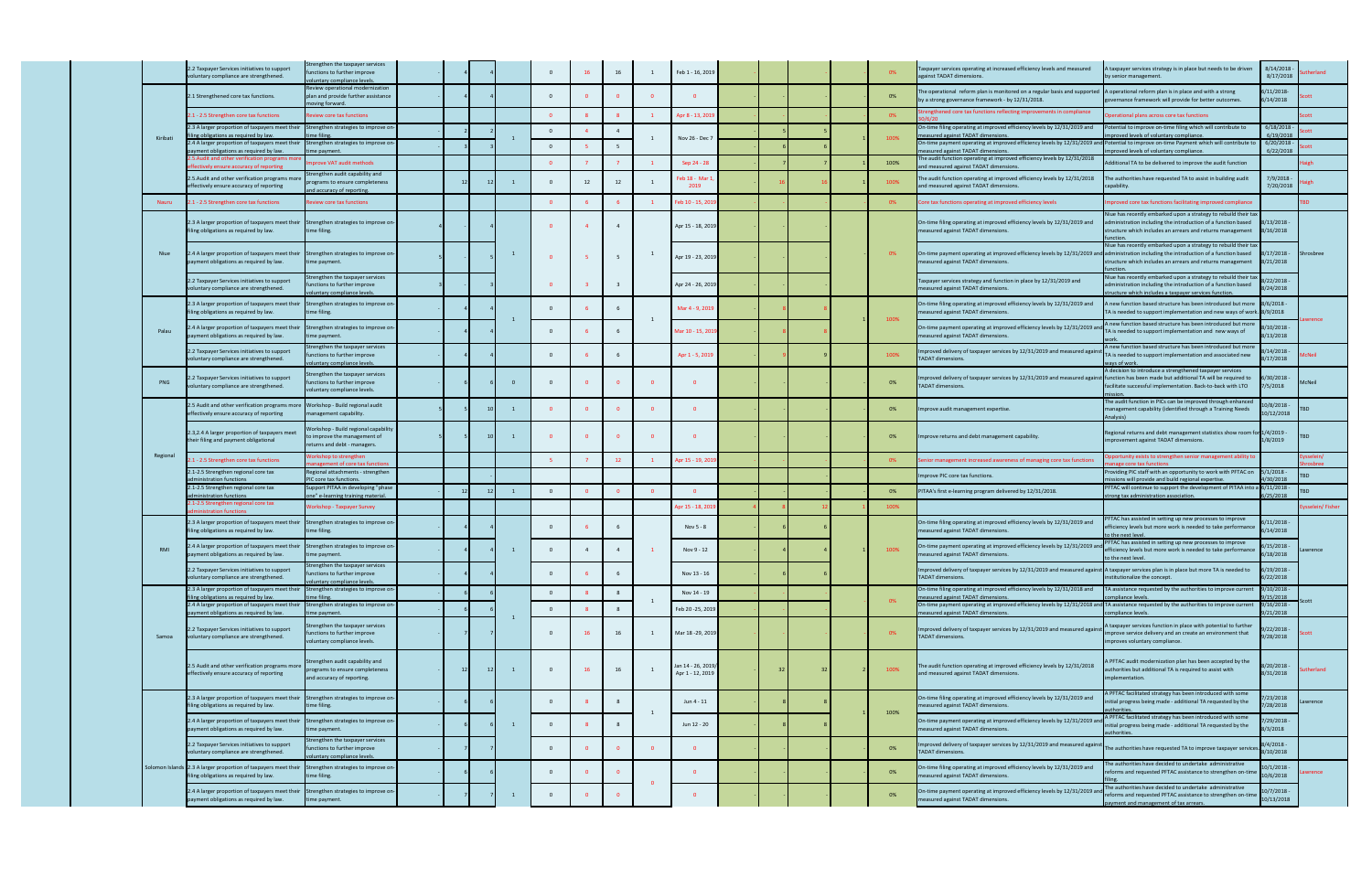|            | .2 Taxpayer Services initiatives to support<br>oluntary compliance are strengthened.                                            | rengthen the taxpayer services<br>nctions to further improve<br>untary compliance levels.      |    |    |              | $\overline{\mathbf{0}}$ | 16             | 16                      | $\overline{1}$          | Feb 1 - 16, 2019                      |  |  | 0%   | Taxpayer services operating at increased efficiency levels and measured<br>against TADAT dimensions.                                                                                   | A taxpayer services strategy is in place but needs to be driven<br>by senior management.                                                                                                     | 8/14/2018<br>8/17/2018      | erland         |
|------------|---------------------------------------------------------------------------------------------------------------------------------|------------------------------------------------------------------------------------------------|----|----|--------------|-------------------------|----------------|-------------------------|-------------------------|---------------------------------------|--|--|------|----------------------------------------------------------------------------------------------------------------------------------------------------------------------------------------|----------------------------------------------------------------------------------------------------------------------------------------------------------------------------------------------|-----------------------------|----------------|
|            | 2.1 Strengthened core tax functions.                                                                                            | eview operational modernization<br>plan and provide further assistance<br>ving forward.        |    |    |              | $\overline{0}$          |                |                         | ി വ                     |                                       |  |  | 0%   | The operational reform plan is monitored on a regular basis and supported A operational reform plan is in place and with a strong<br>by a strong governance framework - by 12/31/2018. | overnance framework will provide for better outcomes.                                                                                                                                        | 6/11/2018-<br>6/14/2018     |                |
|            | 2.1 - 2.5 Strengthen core tax functions                                                                                         | view core tax functions                                                                        |    |    |              | $\overline{0}$          |                |                         |                         | Apr 8 - 13, 201                       |  |  | 0%   | trengthened core tax functions reflecting improvements in compliance                                                                                                                   | perational plans across core tax functions                                                                                                                                                   |                             |                |
|            | 2.3 A larger proportion of taxpayers meet their<br>ng obligations as required by law                                            | Strengthen strategies to improve on-<br>e filing                                               |    |    |              | $\overline{0}$          |                | $\overline{4}$          |                         |                                       |  |  |      | On-time filing operating at improved efficiency levels by 12/31/2019 and<br>measured against TADAT dimensior                                                                           | otential to improve on-time filing which will contribute to<br>oved levels of voluntary compliance                                                                                           | 6/18/2018<br>6/19/2018      |                |
| Kiribati   | 2.4 A larger proportion of taxpayers meet their<br>yment obligations as required by law.                                        | trengthen strategies to improve o<br>e payment.                                                |    |    |              | $\overline{\mathbf{0}}$ |                | - 5                     | 1                       | Nov 26 - Dec 7                        |  |  | 100% | On-time payment operating at improved efficiency levels by 12/31/2019 ar<br>measured against TADAT dimensions.                                                                         | otential to improve on-time Payment which will contribute t<br>oved levels of voluntary compliance.                                                                                          | 6/20/2018<br>6/22/2018      |                |
|            | 2.5. Audit and other verification programs                                                                                      | prove VAT audit methods                                                                        |    |    |              | $\overline{0}$          |                |                         | $\overline{1}$          | Sep 24 - 28                           |  |  | 100% | The audit function operating at improved efficiency levels by 12/31/2018                                                                                                               | dditional TA to be delivered to improve the audit function                                                                                                                                   |                             |                |
|            | ctively ensure accuracy of reportin<br>.5. Audit and other verification programs more<br>fectively ensure accuracy of reporting | rengthen audit capability and<br>ograms to ensure completeness                                 |    |    |              |                         | 12             | 12                      |                         | Feb 18 - Mar<br>2019                  |  |  | 100% | and measured against TADAT dimensions<br>The audit function operating at improved efficiency levels by 12/31/2018<br>and measured against TADAT dimensions                             | The authorities have requested TA to assist in building audit                                                                                                                                | 7/9/2018<br>7/20/2018       |                |
| Nauru      | 2.1 - 2.5 Strengthen core tax functions                                                                                         | d accuracy of reporting.<br>eview core tax functions                                           |    |    |              | $\overline{\mathbf{0}}$ |                |                         | $\mathbf{1}$            | Feb 10 - 15, 20                       |  |  | 0%   | Core tax functions operating at improved efficiency levels                                                                                                                             | nproved core tax functions facilitating improved compliance                                                                                                                                  |                             | <b>BD</b>      |
|            | 2.3 A larger proportion of taxpayers meet their Strengthen strategies to improve on<br>ling obligations as required by law.     | time filing.                                                                                   |    |    |              | $\Omega$                |                |                         |                         | Apr 15 - 18, 2019                     |  |  |      | On-time filing operating at improved efficiency levels by 12/31/2019 and<br>measured against TADAT dimensions.                                                                         | iue has recently embarked upon a strategy to rebuild their ta<br>administration including the introduction of a function based<br>structure which includes an arrears and returns management | 8/13/2018<br>8/16/2018      |                |
| Niue       | 2.4 A larger proportion of taxpayers meet their Strengthen strategies to improve or<br>payment obligations as required by law.  | ime payment.                                                                                   |    |    |              | $\overline{\mathbf{0}}$ | -5             | 5                       | $\mathbf{1}$            | Apr 19 - 23, 2019                     |  |  | 0%   | On-time payment operating at improved efficiency levels by 12/31/2019 and administration including the introduction of a function based<br>measured against TADAT dimensions.          | liue has recently embarked upon a strategy to rebuild their tax<br>structure which includes an arrears and returns management                                                                | $8/17/2018 -$<br>8/21/2018  | Shrosbree      |
|            | .2 Taxpayer Services initiatives to support<br>oluntary compliance are strengthened.                                            | engthen the taxpayer services<br>ctions to further improve<br>untary compliance levels.        |    |    |              | $\overline{\mathbf{0}}$ |                | $\overline{\mathbf{3}}$ |                         | Apr 24 - 26, 201                      |  |  |      | Taxpayer services strategy and function in place by 12/31/2019 and<br>measured against TADAT dimensions.                                                                               | liue has recently embarked upon a strategy to rebuild their t<br>dministration including the introduction of a function based<br>tructure which includes a taxpayer services function        | 8/22/2018<br>8/24/2018      |                |
|            | 2.3 A larger proportion of taxpayers meet their Strengthen strategies to improve or<br>ing obligations as required by law.      | ne filing.                                                                                     |    |    |              | $\overline{0}$          |                |                         |                         | Mar 4 - 9, 2019                       |  |  |      | On-time filing operating at improved efficiency levels by 12/31/2019 and<br>measured against TADAT dimensions.                                                                         | A new function based structure has been introduced but more 8/6/2018<br>TA is needed to support implementation and new ways of work. 8/9/2018                                                |                             |                |
| Palau      | .4 A larger proportion of taxpayers meet their Strengthen strategies to improve on<br>ayment obligations as required by law.    | ne payment.                                                                                    |    |    |              | $\overline{0}$          |                |                         |                         | Mar 10 - 15, 201                      |  |  | 100% | On-time payment operating at improved efficiency levels by 12/31/2019 an<br>measured against TADAT dimensions.                                                                         | A new function based structure has been introduced but more<br>TA is needed to support implementation and new ways of                                                                        | 8/10/2018<br>8/13/2018      |                |
|            | 2.2 Taxpayer Services initiatives to support<br>bluntary compliance are strengthened.                                           | engthen the taxpayer services<br>ctions to further improve<br>intary compliance levels.        |    |    |              | $\overline{0}$          |                |                         |                         | Apr 1 - 5, 2019                       |  |  | 100% | Improved delivery of taxpayer services by 12/31/2019 and measured again<br><b>TADAT</b> dimensions.                                                                                    | A new function based structure has been introduced but mo<br>TA is needed to support implementation and associated new<br>vays of work.                                                      | 3/14/2018 -<br>3/17/2018    | Neil:          |
| PNG        | .2 Taxpayer Services initiatives to support<br>oluntary compliance are strengthened.                                            | rengthen the taxpayer services<br>nctions to further improve<br>luntary compliance levels.     |    |    | $\mathbf{0}$ | $\overline{0}$          | $\mathbf{0}$   |                         | $\Omega$                |                                       |  |  | 0%   | mproved delivery of taxpayer services by 12/31/2019 and measured against function has been made but additional TA will be required to<br><b>TADAT dimensions.</b>                      | decision to introduce a strengthened taxpayer services<br>facilitate successful implementation. Back-to-back with LTO                                                                        | 6/30/2018<br>7/5/2018       | AcNeil         |
|            | .5 Audit and other verification programs more<br>ffectively ensure accuracy of reporting                                        | Workshop - Build regional audit<br>anagement capability.                                       |    |    | -1           | $\overline{\mathbf{0}}$ | $\mathbf{0}$   |                         | $\overline{\mathbf{0}}$ |                                       |  |  | 0%   | mprove audit management expertise.                                                                                                                                                     | The audit function in PICs can be improved through enhance<br>management capability (identified through a Training Needs                                                                     | $.0/8/2018 -$<br>10/12/2018 |                |
|            | 2.3,2.4 A larger proportion of taxpayers meet<br>heir filing and payment obligational                                           | Vorkshop - Build regional capabilit<br>improve the management of<br>turns and debt - managers. |    |    | $\mathbf{1}$ | $\overline{\mathbf{0}}$ | $\overline{0}$ |                         | $\overline{0}$          |                                       |  |  | 0%   | Improve returns and debt management capability.                                                                                                                                        | Regional returns and debt management statistics show room fo<br>mprovement against TADAT dimensions.                                                                                         | r 1/4/2019 -<br>1/8/2019    | BD.            |
| Regional   | 1 - 2.5 Strengthen core tax functions                                                                                           | rkshop to strengthen<br>ement of core tax functic                                              |    |    |              | - 5                     |                | 12                      |                         | Apr 15 - 19, 20                       |  |  | 0%   | enior management increased awareness of managing core tax functions                                                                                                                    | portunity exists to strengthen senior management ability t<br>ge core tax functi                                                                                                             |                             |                |
|            | 2.1-2.5 Strengthen regional core tax<br>istration functions                                                                     | Regional attachments - strengthen<br>C core tax function:                                      |    |    |              |                         |                |                         |                         |                                       |  |  |      | mprove PIC core tax functions                                                                                                                                                          | roviding PIC staff with an opportunity to work with PFTAC on<br>sions will provide and build regional expertise                                                                              | $5/1/2018 -$<br>/30/2018    |                |
|            | 2.1-2.5 Strengthen regional core tax<br>inistration functions                                                                   | upport PITAA in developing "phase<br>e" e-learning training material.                          |    |    |              | $\Omega$                |                |                         |                         |                                       |  |  | 0%   | PITAA's first e-learning program delivered by 12/31/2018.                                                                                                                              | PFTAC will continue to support the development of PITAA into<br>trong tax administration association                                                                                         | 6/11/2018<br>5/25/2018      |                |
|            | 1-2.5 Strengthen regional core tax<br>istration functions                                                                       | orkshop - Taxpayer Survey                                                                      |    |    |              |                         |                |                         |                         | pr 15 - 18, 20                        |  |  | 100% |                                                                                                                                                                                        |                                                                                                                                                                                              |                             | sselein/Fisher |
|            | 2.3 A larger proportion of taxpayers meet their<br>ing obligations as required by law.                                          | Strengthen strategies to improve or<br>ne filing.                                              |    |    |              | $\Omega$                |                |                         |                         | Nov 5 - 8                             |  |  |      | On-time filing operating at improved efficiency levels by 12/31/2019 and<br>measured against TADAT dimensions.                                                                         | FTAC has assisted in setting up new processes to improve<br>fficiency levels but more work is needed to take performance<br>o the next leve                                                  | 6/11/2018<br>5/14/2018      |                |
| <b>RMI</b> | 2.4 A larger proportion of taxpayers meet their Strengthen strategies to improve or<br>payment obligations as required by law.  | time payment.                                                                                  |    |    |              | $\mathbf{0}$            |                |                         |                         | Nov 9 - 12                            |  |  | 100% | On-time payment operating at improved efficiency levels by 12/31/2019 an<br>measured against TADAT dimensions.                                                                         | FTAC has assisted in setting up new processes to improve<br>efficiency levels but more work is needed to take performance<br>to the next level.                                              | $5/15/2018 -$<br>6/18/2018  | awrence        |
|            | 2.2 Taxpayer Services initiatives to support<br>oluntary compliance are strengthened.                                           | engthen the taxpayer services<br>nctions to further improve<br>untary compliance levels.       |    |    |              | $\overline{0}$          |                |                         |                         | Nov 13 - 16                           |  |  |      | Improved delivery of taxpayer services by 12/31/2019 and measured against A taxpayer services plan is in place but more TA is needed to<br><b>TADAT dimensions.</b>                    | nstitutionalize the concept.                                                                                                                                                                 | $6/19/2018 -$<br>6/22/2018  |                |
|            | 2.3 A larger proportion of taxpayers meet their<br>ing obligations as required by law                                           | trengthen strategies to improve or<br>e filing                                                 |    |    |              | $\overline{0}$          |                | 8                       |                         | Nov 14 - 19                           |  |  |      | On-time filing operating at improved efficiency levels by 12/31/2018 and<br>measured against TADAT dimensions                                                                          | TA assistance requested by the authorities to improve current<br>mpliance levels                                                                                                             | 9/10/2018<br>9/15/2018      |                |
|            | 2.4 A larger proportion of taxpayers meet their<br>ayment obligations as required by law.                                       | Strengthen strategies to improve on-<br>ne payment.                                            |    |    |              | $\overline{0}$          |                | 8                       | 1                       | Feb 20 -25, 201                       |  |  | 0%   | On-time payment operating at improved efficiency levels by 12/31/2018 and<br>measured against TADAT dimensions.                                                                        | TA assistance requested by the authorities to improve current<br>ompliance levels.                                                                                                           | $9/16/2018 -$<br>/21/2018   |                |
| Samoa      | .2 Taxpayer Services initiatives to support<br>voluntary compliance are strengthened.                                           | rengthen the taxpayer services<br>nctions to further improve<br>bluntary compliance levels.    |    |    |              | $\overline{0}$          |                | 16                      | 1                       | Mar 18 - 29, 2019                     |  |  | 0%   | Improved delivery of taxpayer services by 12/31/2019 and measured against<br><b>TADAT dimensions.</b>                                                                                  | A taxpayer services function in place with potential to further<br>mprove service delivery and an create an environment that<br>mproves voluntary compliance.                                | 9/22/2018<br>9/28/2018      |                |
|            | 2.5 Audit and other verification programs more<br>effectively ensure accuracy of reporting                                      | trengthen audit capability and<br>ograms to ensure completeness<br>and accuracy of reporting.  | 12 | 12 | -1           | $\overline{0}$          | 16             | 16                      |                         | lan 14 - 26, 2019<br>Apr 1 - 12, 2019 |  |  | 100% | The audit function operating at improved efficiency levels by 12/31/2018<br>and measured against TADAT dimensions.                                                                     | PFTAC audit modernization plan has been accepted by the<br>authorities but additional TA is required to assist with<br>mplementation.                                                        | 8/20/2018 -<br>8/31/2018    | therland       |
|            | 2.3 A larger proportion of taxpayers meet their Strengthen strategies to improve or<br>ling obligations as required by law.     | ne filing.                                                                                     |    |    |              | $\overline{0}$          |                |                         | 1                       | Jun 4 - 11                            |  |  | 100% | On-time filing operating at improved efficiency levels by 12/31/2019 and<br>measured against TADAT dimensions.                                                                         | PFTAC facilitated strategy has been introduced with some<br>nitial progress being made - additional TA requested by the<br>ithorities.                                                       | /23/2018<br>/28/2018        | wrence         |
|            | 2.4 A larger proportion of taxpayers meet their Strengthen strategies to improve or<br>payment obligations as required by law.  | ne payment.                                                                                    |    |    |              | $\overline{0}$          |                | 8                       |                         | Jun 12 - 20                           |  |  |      | On-time payment operating at improved efficiency levels by 12/31/2019 ar<br>measured against TADAT dimensions.                                                                         | A PFTAC facilitated strategy has been introduced with some<br>nitial progress being made - additional TA requested by the<br>uthorities.                                                     | $/29/2018 -$<br>8/3/2018    |                |
|            | 2.2 Taxpayer Services initiatives to support<br>voluntary compliance are strengthened.                                          | engthen the taxpayer services<br>ctions to further improve<br>untary compliance levels.        |    |    |              | $\overline{0}$          |                |                         | $\overline{0}$          |                                       |  |  | 0%   | Improved delivery of taxpayer services by 12/31/2019 and measured agains<br><b>TADAT dimensions.</b>                                                                                   | The authorities have requested TA to improve taxpayer service                                                                                                                                | $8/4/2018 -$<br>3/10/2018   |                |
|            | Solomon Islands 2.3 A larger proportion of taxpayers meet their<br>filing obligations as required by law.                       | Strengthen strategies to improve or<br>ne filing.                                              |    |    |              | $\overline{0}$          |                |                         |                         |                                       |  |  | 0%   | On-time filing operating at improved efficiency levels by 12/31/2019 and<br>measured against TADAT dimensions.                                                                         | The authorities have decided to undertake administrative<br>reforms and requested PFTAC assistance to strengthen on-time                                                                     | 10/1/2018<br>10/6/2018      | wrence         |
|            | 2.4 A larger proportion of taxpayers meet their Strengthen strategies to improve on-<br>lyment obligations as required by law.  | ne payment.                                                                                    |    |    |              |                         |                |                         |                         |                                       |  |  | 0%   | On-time payment operating at improved efficiency levels by 12/31/2019 and<br>measured against TADAT dimensions.                                                                        | The authorities have decided to undertake administrative<br>eforms and requested PFTAC assistance to strengthen on-tim<br>ayment and management of tax arrears.                              | 10/7/2018 -<br>10/13/2018   |                |